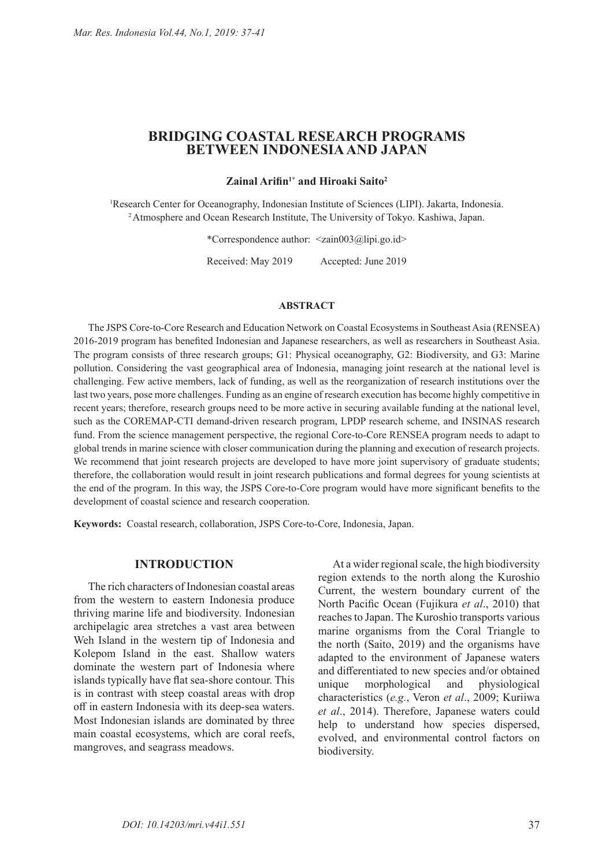# **BRIDGING COASTAL RESEARCH PROGRAMS BETWEEN INDONESIA AND JAPAN**

### **Zainal Arifin1\* and Hiroaki Saito2**

1 Research Center for Oceanography, Indonesian Institute of Sciences (LIPI). Jakarta, Indonesia. <sup>2</sup> Atmosphere and Ocean Research Institute, The University of Tokyo. Kashiwa, Japan.

\*Correspondence author: <zain003@lipi.go.id>

Received: May 2019 Accepted: June 2019

#### **ABSTRACT**

The JSPS Core-to-Core Research and Education Network on Coastal Ecosystems in Southeast Asia (RENSEA) 2016-2019 program has benefited Indonesian and Japanese researchers, as well as researchers in Southeast Asia. The program consists of three research groups; G1: Physical oceanography, G2: Biodiversity, and G3: Marine pollution. Considering the vast geographical area of Indonesia, managing joint research at the national level is challenging. Few active members, lack of funding, as well as the reorganization of research institutions over the last two years, pose more challenges. Funding as an engine of research execution has become highly competitive in recent years; therefore, research groups need to be more active in securing available funding at the national level, such as the COREMAP-CTI demand-driven research program, LPDP research scheme, and INSINAS research fund. From the science management perspective, the regional Core-to-Core RENSEA program needs to adapt to global trends in marine science with closer communication during the planning and execution of research projects. We recommend that joint research projects are developed to have more joint supervisory of graduate students; therefore, the collaboration would result in joint research publications and formal degrees for young scientists at the end of the program. In this way, the JSPS Core-to-Core program would have more significant benefits to the development of coastal science and research cooperation.

**Keywords:** Coastal research, collaboration, JSPS Core-to-Core, Indonesia, Japan.

#### **INTRODUCTION**

The rich characters of Indonesian coastal areas from the western to eastern Indonesia produce thriving marine life and biodiversity. Indonesian archipelagic area stretches a vast area between Weh Island in the western tip of Indonesia and Kolepom Island in the east. Shallow waters dominate the western part of Indonesia where islands typically have flat sea-shore contour. This is in contrast with steep coastal areas with drop off in eastern Indonesia with its deep-sea waters. Most Indonesian islands are dominated by three main coastal ecosystems, which are coral reefs, mangroves, and seagrass meadows.

At a wider regional scale, the high biodiversity region extends to the north along the Kuroshio Current, the western boundary current of the North Pacific Ocean (Fujikura *et al*., 2010) that reaches to Japan. The Kuroshio transports various marine organisms from the Coral Triangle to the north (Saito, 2019) and the organisms have adapted to the environment of Japanese waters and differentiated to new species and/or obtained unique morphological and physiological characteristics (*e.g.*, Veron *et al*., 2009; Kuriiwa *et al*., 2014). Therefore, Japanese waters could help to understand how species dispersed, evolved, and environmental control factors on biodiversity.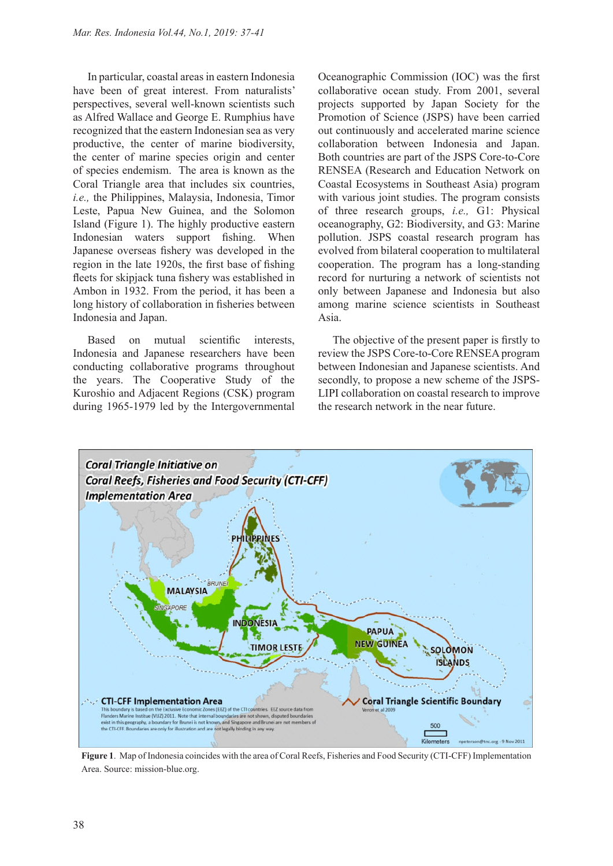In particular, coastal areas in eastern Indonesia have been of great interest. From naturalists' perspectives, several well-known scientists such as Alfred Wallace and George E. Rumphius have recognized that the eastern Indonesian sea as very productive, the center of marine biodiversity, the center of marine species origin and center of species endemism. The area is known as the Coral Triangle area that includes six countries, *i.e.,* the Philippines, Malaysia, Indonesia, Timor Leste, Papua New Guinea, and the Solomon Island (Figure 1). The highly productive eastern Indonesian waters support fishing. When Japanese overseas fishery was developed in the region in the late 1920s, the first base of fishing fleets for skipjack tuna fishery was established in Ambon in 1932. From the period, it has been a long history of collaboration in fisheries between Indonesia and Japan.

Based on mutual scientific interests, Indonesia and Japanese researchers have been conducting collaborative programs throughout the years. The Cooperative Study of the Kuroshio and Adjacent Regions (CSK) program during 1965-1979 led by the Intergovernmental Oceanographic Commission (IOC) was the first collaborative ocean study. From 2001, several projects supported by Japan Society for the Promotion of Science (JSPS) have been carried out continuously and accelerated marine science collaboration between Indonesia and Japan. Both countries are part of the JSPS Core-to-Core RENSEA (Research and Education Network on Coastal Ecosystems in Southeast Asia) program with various joint studies. The program consists of three research groups, *i.e.,* G1: Physical oceanography, G2: Biodiversity, and G3: Marine pollution. JSPS coastal research program has evolved from bilateral cooperation to multilateral cooperation. The program has a long-standing record for nurturing a network of scientists not only between Japanese and Indonesia but also among marine science scientists in Southeast Asia.

The objective of the present paper is firstly to review the JSPS Core-to-Core RENSEA program between Indonesian and Japanese scientists. And secondly, to propose a new scheme of the JSPS-LIPI collaboration on coastal research to improve the research network in the near future.



**Figure 1**. Map of Indonesia coincides with the area of Coral Reefs, Fisheries and Food Security (CTI-CFF) Implementation Area. Source: mission-blue.org.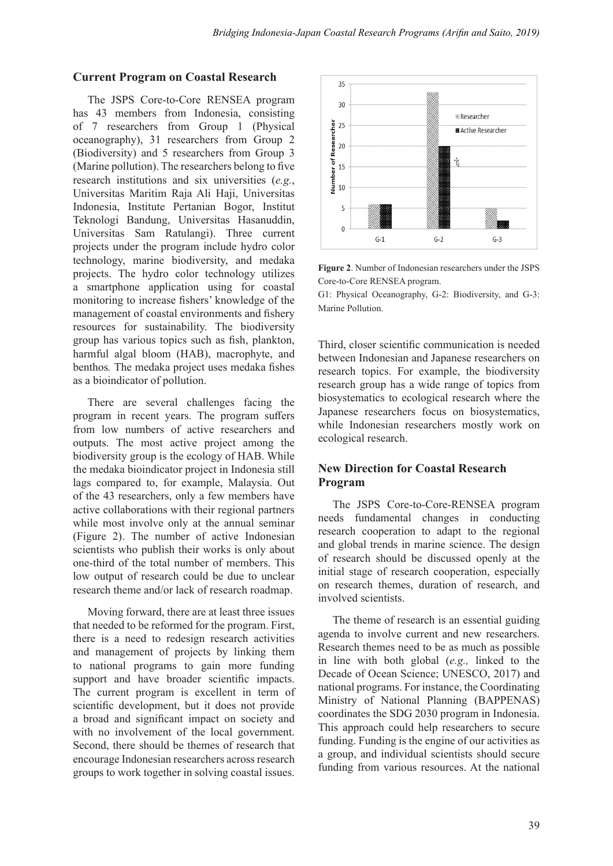#### **Current Program on Coastal Research**

The JSPS Core-to-Core RENSEA program has 43 members from Indonesia, consisting of 7 researchers from Group 1 (Physical oceanography), 31 researchers from Group 2 (Biodiversity) and 5 researchers from Group 3 (Marine pollution). The researchers belong to five research institutions and six universities (*e.g.*, Universitas Maritim Raja Ali Haji, Universitas Indonesia, Institute Pertanian Bogor, Institut Teknologi Bandung, Universitas Hasanuddin, Universitas Sam Ratulangi). Three current projects under the program include hydro color technology, marine biodiversity, and medaka projects. The hydro color technology utilizes a smartphone application using for coastal monitoring to increase fishers' knowledge of the management of coastal environments and fishery resources for sustainability. The biodiversity group has various topics such as fish, plankton, harmful algal bloom (HAB), macrophyte, and benthos*.* The medaka project uses medaka fishes as a bioindicator of pollution.

There are several challenges facing the program in recent years. The program suffers from low numbers of active researchers and outputs. The most active project among the biodiversity group is the ecology of HAB. While the medaka bioindicator project in Indonesia still lags compared to, for example, Malaysia. Out of the 43 researchers, only a few members have active collaborations with their regional partners while most involve only at the annual seminar (Figure 2). The number of active Indonesian scientists who publish their works is only about one-third of the total number of members. This low output of research could be due to unclear research theme and/or lack of research roadmap.

Moving forward, there are at least three issues that needed to be reformed for the program. First, there is a need to redesign research activities and management of projects by linking them to national programs to gain more funding support and have broader scientific impacts. The current program is excellent in term of scientific development, but it does not provide a broad and significant impact on society and with no involvement of the local government. Second, there should be themes of research that encourage Indonesian researchers across research groups to work together in solving coastal issues.



**Figure 2**. Number of Indonesian researchers under the JSPS Core-to-Core RENSEA program.

G1: Physical Oceanography, G-2: Biodiversity, and G-3: Marine Pollution.

Third, closer scientific communication is needed between Indonesian and Japanese researchers on research topics. For example, the biodiversity research group has a wide range of topics from biosystematics to ecological research where the Japanese researchers focus on biosystematics, while Indonesian researchers mostly work on ecological research.

## **New Direction for Coastal Research Program**

The JSPS Core-to-Core-RENSEA program needs fundamental changes in conducting research cooperation to adapt to the regional and global trends in marine science. The design of research should be discussed openly at the initial stage of research cooperation, especially on research themes, duration of research, and involved scientists.

The theme of research is an essential guiding agenda to involve current and new researchers. Research themes need to be as much as possible in line with both global (*e.g.,* linked to the Decade of Ocean Science; UNESCO, 2017) and national programs. For instance, the Coordinating Ministry of National Planning (BAPPENAS) coordinates the SDG 2030 program in Indonesia. This approach could help researchers to secure funding. Funding is the engine of our activities as a group, and individual scientists should secure funding from various resources. At the national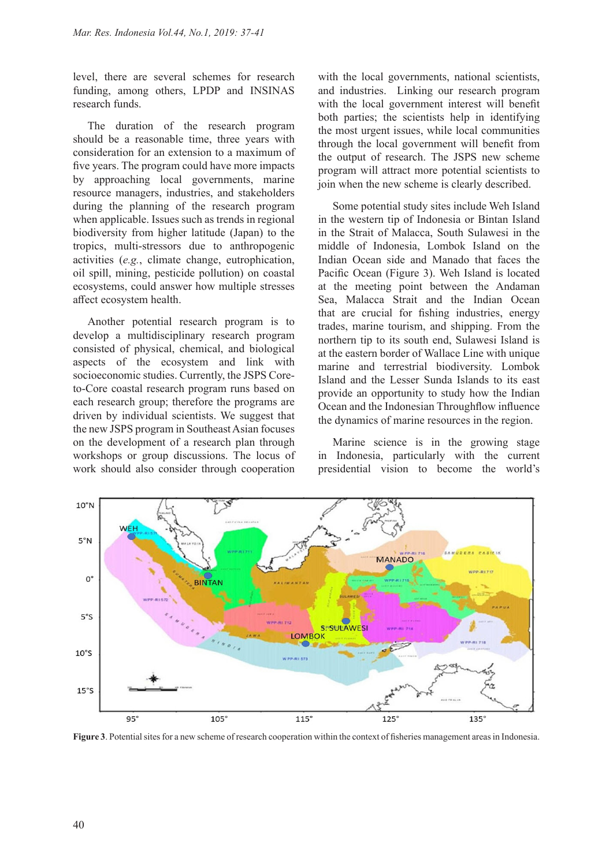level, there are several schemes for research funding, among others, LPDP and INSINAS research funds.

The duration of the research program should be a reasonable time, three years with consideration for an extension to a maximum of five years. The program could have more impacts by approaching local governments, marine resource managers, industries, and stakeholders during the planning of the research program when applicable. Issues such as trends in regional biodiversity from higher latitude (Japan) to the tropics, multi-stressors due to anthropogenic activities (*e.g.*, climate change, eutrophication, oil spill, mining, pesticide pollution) on coastal ecosystems, could answer how multiple stresses affect ecosystem health.

Another potential research program is to develop a multidisciplinary research program consisted of physical, chemical, and biological aspects of the ecosystem and link with socioeconomic studies. Currently, the JSPS Coreto-Core coastal research program runs based on each research group; therefore the programs are driven by individual scientists. We suggest that the new JSPS program in Southeast Asian focuses on the development of a research plan through workshops or group discussions. The locus of work should also consider through cooperation

with the local governments, national scientists, and industries. Linking our research program with the local government interest will benefit both parties; the scientists help in identifying the most urgent issues, while local communities through the local government will benefit from the output of research. The JSPS new scheme program will attract more potential scientists to join when the new scheme is clearly described.

Some potential study sites include Weh Island in the western tip of Indonesia or Bintan Island in the Strait of Malacca, South Sulawesi in the middle of Indonesia, Lombok Island on the Indian Ocean side and Manado that faces the Pacific Ocean (Figure 3). Weh Island is located at the meeting point between the Andaman Sea, Malacca Strait and the Indian Ocean that are crucial for fishing industries, energy trades, marine tourism, and shipping. From the northern tip to its south end, Sulawesi Island is at the eastern border of Wallace Line with unique marine and terrestrial biodiversity. Lombok Island and the Lesser Sunda Islands to its east provide an opportunity to study how the Indian Ocean and the Indonesian Throughflow influence the dynamics of marine resources in the region.

Marine science is in the growing stage in Indonesia, particularly with the current presidential vision to become the world's



**Figure 3**. Potential sites for a new scheme of research cooperation within the context of fisheries management areas in Indonesia.